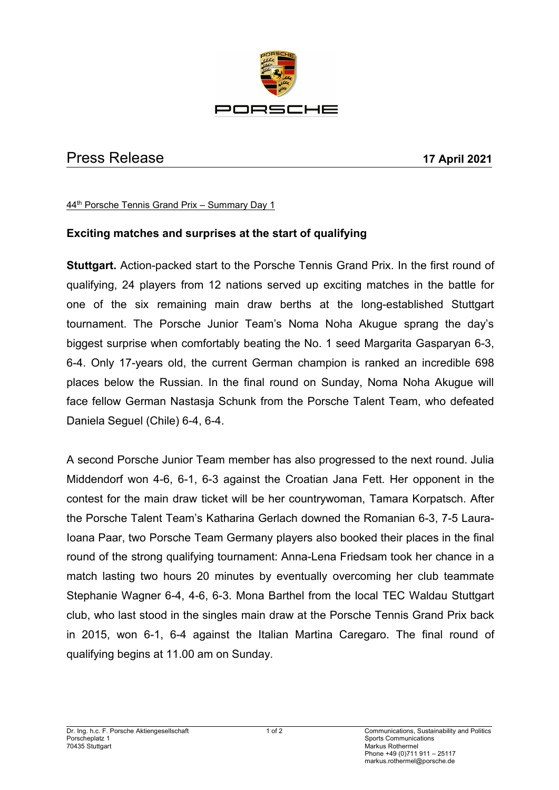

## Press Release **17 April 2021**

44 th Porsche Tennis Grand Prix – Summary Day 1

## **Exciting matches and surprises at the start of qualifying**

**Stuttgart.** Action-packed start to the Porsche Tennis Grand Prix. In the first round of qualifying, 24 players from 12 nations served up exciting matches in the battle for one of the six remaining main draw berths at the long-established Stuttgart tournament. The Porsche Junior Team's Noma Noha Akugue sprang the day's biggest surprise when comfortably beating the No. 1 seed Margarita Gasparyan 6-3, 6-4. Only 17-years old, the current German champion is ranked an incredible 698 places below the Russian. In the final round on Sunday, Noma Noha Akugue will face fellow German Nastasja Schunk from the Porsche Talent Team, who defeated Daniela Seguel (Chile) 6-4, 6-4.

A second Porsche Junior Team member has also progressed to the next round. Julia Middendorf won 4-6, 6-1, 6-3 against the Croatian Jana Fett. Her opponent in the contest for the main draw ticket will be her countrywoman, Tamara Korpatsch. After the Porsche Talent Team's Katharina Gerlach downed the Romanian 6-3, 7-5 Laura-Ioana Paar, two Porsche Team Germany players also booked their places in the final round of the strong qualifying tournament: Anna-Lena Friedsam took her chance in a match lasting two hours 20 minutes by eventually overcoming her club teammate Stephanie Wagner 6-4, 4-6, 6-3. Mona Barthel from the local TEC Waldau Stuttgart club, who last stood in the singles main draw at the Porsche Tennis Grand Prix back in 2015, won 6-1, 6-4 against the Italian Martina Caregaro. The final round of qualifying begins at 11.00 am on Sunday.